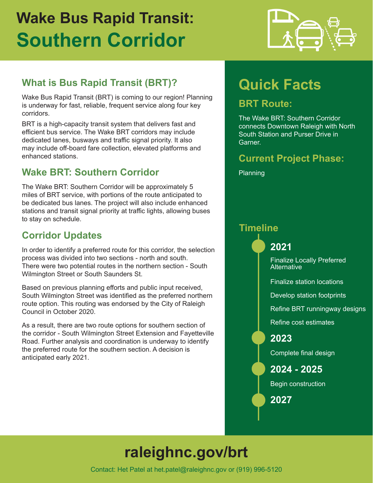# **Wake Bus Rapid Transit: Southern Corridor**



# **What is Bus Rapid Transit (BRT)?**

Wake Bus Rapid Transit (BRT) is coming to our region! Planning is underway for fast, reliable, frequent service along four key corridors.

BRT is a high-capacity transit system that delivers fast and efficient bus service. The Wake BRT corridors may include dedicated lanes, busways and traffic signal priority. It also may include off-board fare collection, elevated platforms and enhanced stations.

### **Wake BRT: Southern Corridor**

The Wake BRT: Southern Corridor will be approximately 5 miles of BRT service, with portions of the route anticipated to be dedicated bus lanes. The project will also include enhanced stations and transit signal priority at traffic lights, allowing buses to stay on schedule.

## **Corridor Updates**

In order to identify a preferred route for this corridor, the selection process was divided into two sections - north and south. There were two potential routes in the northern section - South Wilmington Street or South Saunders St.

Based on previous planning efforts and public input received, South Wilmington Street was identified as the preferred northern route option. This routing was endorsed by the City of Raleigh Council in October 2020.

As a result, there are two route options for southern section of the corridor - South Wilmington Street Extension and Fayetteville Road. Further analysis and coordination is underway to identify the preferred route for the southern section. A decision is anticipated early 2021.

# **Quick Facts**

### **BRT Route:**

The Wake BRT: Southern Corridor connects Downtown Raleigh with North South Station and Purser Drive in Garner.

### **Current Project Phase:**

Planning

#### **Timeline**

**2021**

Finalize Locally Preferred **Alternative** 

Finalize station locations

Develop station footprints

Refine BRT runningway designs

Refine cost estimates

#### **2023**

Complete final design

**2024 - 2025**

Begin construction

**2027**

# **raleighnc.gov/brt**

Contact: Het Patel at het.patel@raleighnc.gov or (919) 996-5120